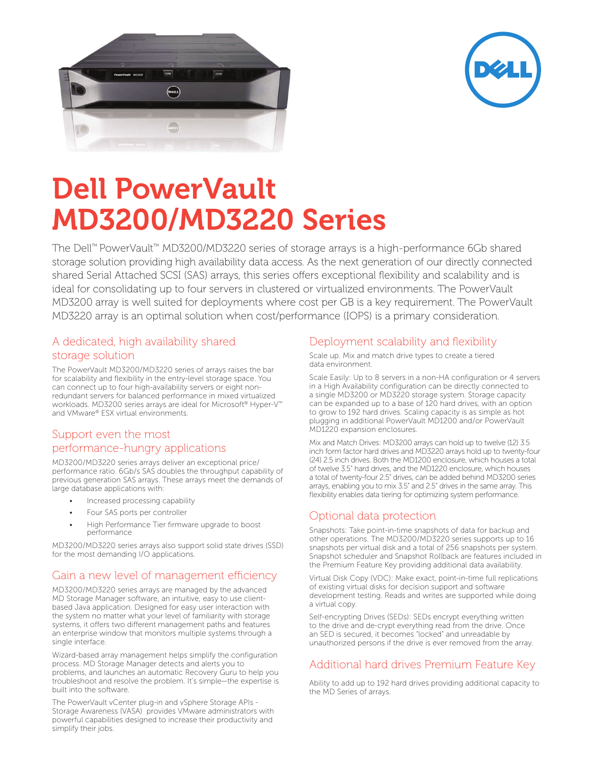



# Dell PowerVault MD3200/MD3220 Series

The Dell™ PowerVault™ MD3200/MD3220 series of storage arrays is a high-performance 6Gb shared storage solution providing high availability data access. As the next generation of our directly connected shared Serial Attached SCSI (SAS) arrays, this series offers exceptional flexibility and scalability and is ideal for consolidating up to four servers in clustered or virtualized environments. The PowerVault MD3200 array is well suited for deployments where cost per GB is a key requirement. The PowerVault MD3220 array is an optimal solution when cost/performance (IOPS) is a primary consideration.

#### A dedicated, high availability shared storage solution

The PowerVault MD3200/MD3220 series of arrays raises the bar for scalability and flexibility in the entry-level storage space. You can connect up to four high-availability servers or eight nonredundant servers for balanced performance in mixed virtualized workloads. MD3200 series arrays are ideal for Microsoft® Hyper-V™ and VMware® ESX virtual environments.

#### Support even the most performance-hungry applications

MD3200/MD3220 series arrays deliver an exceptional price/ performance ratio. 6Gb/s SAS doubles the throughput capability of previous generation SAS arrays. These arrays meet the demands of large database applications with:

- Increased processing capability
- Four SAS ports per controller
- High Performance Tier firmware upgrade to boost performance

MD3200/MD3220 series arrays also support solid state drives (SSD) for the most demanding I/O applications.

## Gain a new level of management efficiency

MD3200/MD3220 series arrays are managed by the advanced MD Storage Manager software, an intuitive, easy to use clientbased Java application. Designed for easy user interaction with the system no matter what your level of familiarity with storage systems, it offers two different management paths and features an enterprise window that monitors multiple systems through a single interface.

Wizard-based array management helps simplify the configuration process. MD Storage Manager detects and alerts you to problems, and launches an automatic Recovery Guru to help you troubleshoot and resolve the problem. It's simple—the expertise is built into the software.

The PowerVault vCenter plug-in and vSphere Storage APIs - Storage Awareness (VASA) provides VMware administrators with powerful capabilities designed to increase their productivity and simplify their jobs.

#### Deployment scalability and flexibility

Scale up. Mix and match drive types to create a tiered data environment.

Scale Easily: Up to 8 servers in a non-HA configuration or 4 servers in a High Availability configuration can be directly connected to a single MD3200 or MD3220 storage system. Storage capacity can be expanded up to a base of 120 hard drives, with an option to grow to 192 hard drives. Scaling capacity is as simple as hot plugging in additional PowerVault MD1200 and/or PowerVault MD1220 expansion enclosures.

Mix and Match Drives: MD3200 arrays can hold up to twelve (12) 3.5 inch form factor hard drives and MD3220 arrays hold up to twenty-four (24) 2.5 inch drives. Both the MD1200 enclosure, which houses a total of twelve 3.5" hard drives, and the MD1220 enclosure, which houses a total of twenty-four 2.5" drives, can be added behind MD3200 series arrays, enabling you to mix 3.5" and 2.5" drives in the same array. This flexibility enables data tiering for optimizing system performance.

#### Optional data protection

Snapshots: Take point-in-time snapshots of data for backup and other operations. The MD3200/MD3220 series supports up to 16 snapshots per virtual disk and a total of 256 snapshots per system. Snapshot scheduler and Snapshot Rollback are features included in the Premium Feature Key providing additional data availability.

Virtual Disk Copy (VDC): Make exact, point-in-time full replications of existing virtual disks for decision support and software development testing. Reads and writes are supported while doing a virtual copy.

Self-encrypting Drives (SEDs): SEDs encrypt everything written to the drive and de-crypt everything read from the drive. Once an SED is secured, it becomes "locked" and unreadable by unauthorized persons if the drive is ever removed from the array.

## Additional hard drives Premium Feature Key

Ability to add up to 192 hard drives providing additional capacity to the MD Series of arrays.